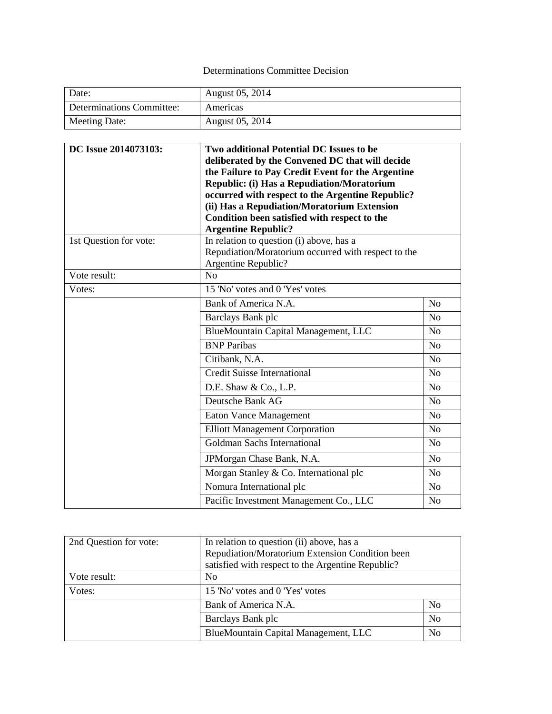## Determinations Committee Decision

| Date:                     | August 05, 2014 |
|---------------------------|-----------------|
| Determinations Committee: | Americas        |
| Meeting Date:             | August 05, 2014 |

| DC Issue 2014073103:   | Two additional Potential DC Issues to be<br>deliberated by the Convened DC that will decide<br>the Failure to Pay Credit Event for the Argentine<br><b>Republic: (i) Has a Repudiation/Moratorium</b><br>occurred with respect to the Argentine Republic?<br>(ii) Has a Repudiation/Moratorium Extension<br>Condition been satisfied with respect to the<br><b>Argentine Republic?</b> |                |
|------------------------|----------------------------------------------------------------------------------------------------------------------------------------------------------------------------------------------------------------------------------------------------------------------------------------------------------------------------------------------------------------------------------------|----------------|
| 1st Question for vote: | In relation to question (i) above, has a<br>Repudiation/Moratorium occurred with respect to the<br>Argentine Republic?                                                                                                                                                                                                                                                                 |                |
| Vote result:           | N <sub>o</sub>                                                                                                                                                                                                                                                                                                                                                                         |                |
| Votes:                 | 15 'No' votes and 0 'Yes' votes                                                                                                                                                                                                                                                                                                                                                        |                |
|                        | Bank of America N.A.                                                                                                                                                                                                                                                                                                                                                                   | N <sub>0</sub> |
|                        | Barclays Bank plc                                                                                                                                                                                                                                                                                                                                                                      | No             |
|                        | BlueMountain Capital Management, LLC                                                                                                                                                                                                                                                                                                                                                   | N <sub>o</sub> |
|                        | <b>BNP</b> Paribas                                                                                                                                                                                                                                                                                                                                                                     | N <sub>o</sub> |
|                        | Citibank, N.A.                                                                                                                                                                                                                                                                                                                                                                         | No             |
|                        | <b>Credit Suisse International</b>                                                                                                                                                                                                                                                                                                                                                     | N <sub>o</sub> |
|                        | D.E. Shaw & Co., L.P.                                                                                                                                                                                                                                                                                                                                                                  | N <sub>o</sub> |
|                        | Deutsche Bank AG                                                                                                                                                                                                                                                                                                                                                                       | No             |
|                        | <b>Eaton Vance Management</b>                                                                                                                                                                                                                                                                                                                                                          | N <sub>o</sub> |
|                        | <b>Elliott Management Corporation</b>                                                                                                                                                                                                                                                                                                                                                  | N <sub>o</sub> |
|                        | Goldman Sachs International                                                                                                                                                                                                                                                                                                                                                            | N <sub>o</sub> |
|                        | JPMorgan Chase Bank, N.A.                                                                                                                                                                                                                                                                                                                                                              | N <sub>o</sub> |
|                        | Morgan Stanley & Co. International plc                                                                                                                                                                                                                                                                                                                                                 | N <sub>o</sub> |
|                        | Nomura International plc                                                                                                                                                                                                                                                                                                                                                               | N <sub>o</sub> |
|                        | Pacific Investment Management Co., LLC                                                                                                                                                                                                                                                                                                                                                 | N <sub>o</sub> |

| 2nd Question for vote: | In relation to question (ii) above, has a         |                |
|------------------------|---------------------------------------------------|----------------|
|                        | Repudiation/Moratorium Extension Condition been   |                |
|                        | satisfied with respect to the Argentine Republic? |                |
| Vote result:           | N <sub>0</sub>                                    |                |
| Votes:                 | 15 'No' votes and 0 'Yes' votes                   |                |
|                        | Bank of America N.A.                              | N <sub>0</sub> |
|                        | Barclays Bank plc                                 | N <sub>0</sub> |
|                        | BlueMountain Capital Management, LLC              | N <sub>0</sub> |